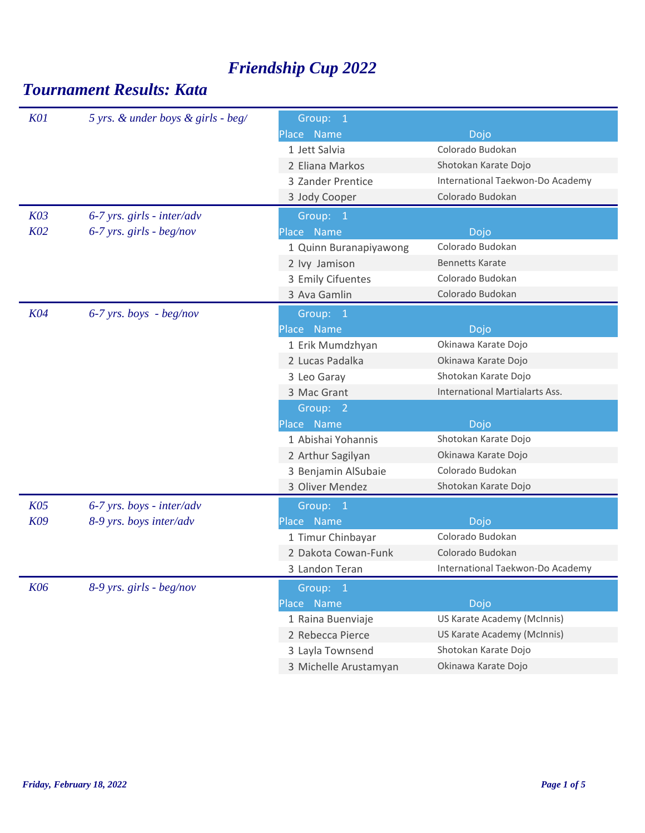| <b>K01</b> | 5 yrs. & under boys & girls - beg/ | Group: 1               |                                       |
|------------|------------------------------------|------------------------|---------------------------------------|
|            |                                    | Place Name             | Dojo                                  |
|            |                                    | 1 Jett Salvia          | Colorado Budokan                      |
|            |                                    | 2 Eliana Markos        | Shotokan Karate Dojo                  |
|            |                                    | 3 Zander Prentice      | International Taekwon-Do Academy      |
|            |                                    | 3 Jody Cooper          | Colorado Budokan                      |
| K03        | $6-7$ yrs. girls - inter/adv       | Group: 1               |                                       |
| K02        | $6-7$ yrs. girls - beg/nov         | Place Name             | Dojo                                  |
|            |                                    | 1 Quinn Buranapiyawong | Colorado Budokan                      |
|            |                                    | 2 lvy Jamison          | <b>Bennetts Karate</b>                |
|            |                                    | 3 Emily Cifuentes      | Colorado Budokan                      |
|            |                                    | 3 Ava Gamlin           | Colorado Budokan                      |
| <b>K04</b> | $6-7$ yrs. boys - beg/nov          | Group: 1               |                                       |
|            |                                    | Place Name             | Dojo                                  |
|            |                                    | 1 Erik Mumdzhyan       | Okinawa Karate Dojo                   |
|            |                                    | 2 Lucas Padalka        | Okinawa Karate Dojo                   |
|            |                                    | 3 Leo Garay            | Shotokan Karate Dojo                  |
|            |                                    | 3 Mac Grant            | <b>International Martialarts Ass.</b> |
|            |                                    | Group: 2               |                                       |
|            |                                    | Place Name             | Dojo                                  |
|            |                                    | 1 Abishai Yohannis     | Shotokan Karate Dojo                  |
|            |                                    | 2 Arthur Sagilyan      | Okinawa Karate Dojo                   |
|            |                                    | 3 Benjamin AlSubaie    | Colorado Budokan                      |
|            |                                    | 3 Oliver Mendez        | Shotokan Karate Dojo                  |
| K05        | 6-7 yrs. boys - inter/adv          | Group: 1               |                                       |
| K09        | 8-9 yrs. boys inter/adv            | Place Name             | Dojo                                  |
|            |                                    | 1 Timur Chinbayar      | Colorado Budokan                      |
|            |                                    | 2 Dakota Cowan-Funk    | Colorado Budokan                      |
|            |                                    | 3 Landon Teran         | International Taekwon-Do Academy      |
| K06        | 8-9 yrs. girls - beg/nov           | Group: 1               |                                       |
|            |                                    | Place Name             | Dojo                                  |
|            |                                    | 1 Raina Buenviaje      | US Karate Academy (McInnis)           |
|            |                                    | 2 Rebecca Pierce       | US Karate Academy (McInnis)           |
|            |                                    | 3 Layla Townsend       | Shotokan Karate Dojo                  |
|            |                                    | 3 Michelle Arustamyan  | Okinawa Karate Dojo                   |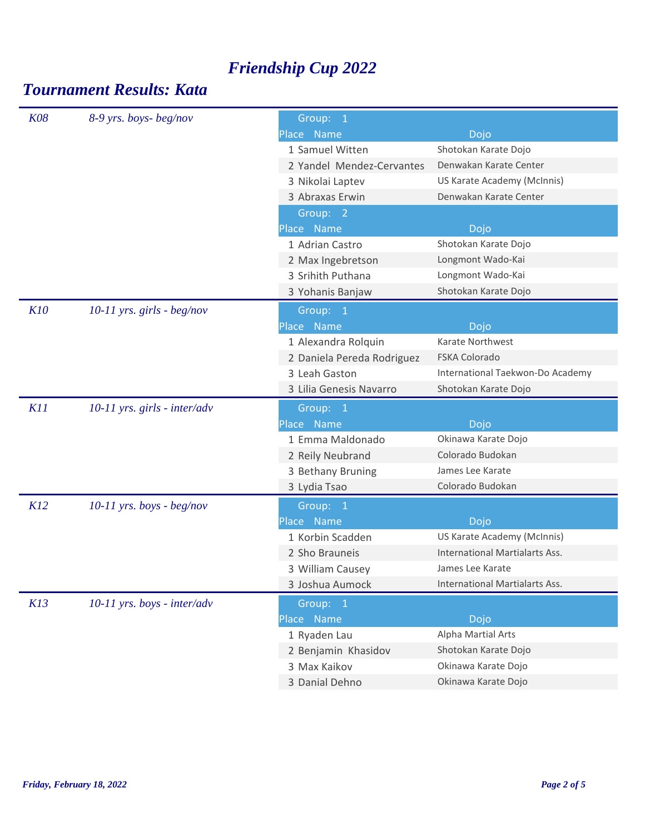| <b>K08</b> | 8-9 yrs. boys-beg/nov          | Group: 1                   |                                  |
|------------|--------------------------------|----------------------------|----------------------------------|
|            |                                | Place Name                 | Dojo                             |
|            |                                | 1 Samuel Witten            | Shotokan Karate Dojo             |
|            |                                | 2 Yandel Mendez-Cervantes  | Denwakan Karate Center           |
|            |                                | 3 Nikolai Laptev           | US Karate Academy (McInnis)      |
|            |                                | 3 Abraxas Erwin            | Denwakan Karate Center           |
|            |                                | Group: 2                   |                                  |
|            |                                | Place Name                 | Dojo                             |
|            |                                | 1 Adrian Castro            | Shotokan Karate Dojo             |
|            |                                | 2 Max Ingebretson          | Longmont Wado-Kai                |
|            |                                | 3 Srihith Puthana          | Longmont Wado-Kai                |
|            |                                | 3 Yohanis Banjaw           | Shotokan Karate Dojo             |
| <b>K10</b> | $10-11$ yrs. girls - beg/nov   | Group: 1                   |                                  |
|            |                                | Place Name                 | Dojo                             |
|            |                                | 1 Alexandra Rolquin        | Karate Northwest                 |
|            |                                | 2 Daniela Pereda Rodriguez | <b>FSKA Colorado</b>             |
|            |                                | 3 Leah Gaston              | International Taekwon-Do Academy |
|            |                                | 3 Lilia Genesis Navarro    | Shotokan Karate Dojo             |
|            |                                |                            |                                  |
| K11        |                                |                            |                                  |
|            | $10-11$ yrs. girls - inter/adv | Group: 1<br>Place Name     | Dojo                             |
|            |                                | 1 Emma Maldonado           | Okinawa Karate Dojo              |
|            |                                | 2 Reily Neubrand           | Colorado Budokan                 |
|            |                                | 3 Bethany Bruning          | James Lee Karate                 |
|            |                                | 3 Lydia Tsao               | Colorado Budokan                 |
| K12        |                                |                            |                                  |
|            | $10-11$ yrs. boys - beg/nov    | Group: 1<br>Place Name     | Dojo                             |
|            |                                | 1 Korbin Scadden           | US Karate Academy (McInnis)      |
|            |                                | 2 Sho Brauneis             | International Martialarts Ass.   |
|            |                                | 3 William Causey           | James Lee Karate                 |
|            |                                | 3 Joshua Aumock            | International Martialarts Ass.   |
|            |                                |                            |                                  |
| K13        | $10-11$ yrs. boys - inter/adv  | Group: 1<br>Place Name     |                                  |
|            |                                | 1 Ryaden Lau               | Dojo<br>Alpha Martial Arts       |
|            |                                | 2 Benjamin Khasidov        | Shotokan Karate Dojo             |
|            |                                | 3 Max Kaikov               | Okinawa Karate Dojo              |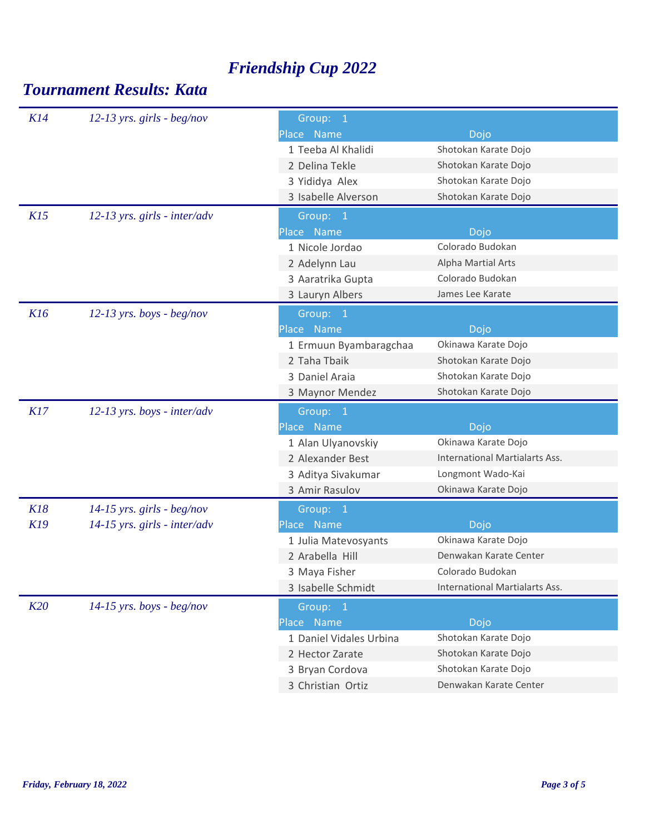| K14<br>$12-13$ yrs. girls - beg/nov<br>Group: 1<br>Place Name<br>Dojo<br>Shotokan Karate Dojo<br>1 Teeba Al Khalidi<br>Shotokan Karate Dojo<br>2 Delina Tekle<br>Shotokan Karate Dojo<br>3 Yididya Alex<br>Shotokan Karate Dojo<br>3 Isabelle Alverson<br>K15<br>$12-13$ yrs. girls - inter/adv<br>Group: 1<br>Place Name<br>Dojo<br>Colorado Budokan<br>1 Nicole Jordao<br>Alpha Martial Arts<br>2 Adelynn Lau<br>Colorado Budokan<br>3 Aaratrika Gupta<br>James Lee Karate<br>3 Lauryn Albers<br>K16<br>$12-13$ yrs. boys - beg/nov<br>Group: 1<br>Place Name<br>Dojo<br>1 Ermuun Byambaragchaa<br>Okinawa Karate Dojo<br>2 Taha Tbaik<br>Shotokan Karate Dojo<br>Shotokan Karate Dojo<br>3 Daniel Araia<br>Shotokan Karate Dojo<br>3 Maynor Mendez<br>K17<br>$12-13$ yrs. boys - inter/adv<br>Group: 1<br>Place Name<br>Dojo<br>1 Alan Ulyanovskiy<br>Okinawa Karate Dojo<br><b>International Martialarts Ass.</b><br>2 Alexander Best<br>3 Aditya Sivakumar<br>Longmont Wado-Kai<br>Okinawa Karate Dojo<br>3 Amir Rasulov<br>K18<br>$14-15$ yrs. girls - beg/nov<br>Group: 1<br>K19<br>$14-15$ yrs. girls - inter/adv<br>Place Name<br>Dojo<br>Okinawa Karate Dojo<br>1 Julia Matevosyants<br>Denwakan Karate Center<br>2 Arabella Hill<br>Colorado Budokan<br>3 Maya Fisher<br><b>International Martialarts Ass.</b><br>3 Isabelle Schmidt<br>K20<br>$14-15$ yrs. boys - beg/nov<br>Group: 1<br>Place Name<br>Dojo<br>1 Daniel Vidales Urbina<br>Shotokan Karate Dojo<br>Shotokan Karate Dojo<br>2 Hector Zarate<br>Shotokan Karate Dojo<br>3 Bryan Cordova<br>Denwakan Karate Center<br>3 Christian Ortiz |  |  |  |
|-----------------------------------------------------------------------------------------------------------------------------------------------------------------------------------------------------------------------------------------------------------------------------------------------------------------------------------------------------------------------------------------------------------------------------------------------------------------------------------------------------------------------------------------------------------------------------------------------------------------------------------------------------------------------------------------------------------------------------------------------------------------------------------------------------------------------------------------------------------------------------------------------------------------------------------------------------------------------------------------------------------------------------------------------------------------------------------------------------------------------------------------------------------------------------------------------------------------------------------------------------------------------------------------------------------------------------------------------------------------------------------------------------------------------------------------------------------------------------------------------------------------------------------------------------------------------------------------------------------------|--|--|--|
|                                                                                                                                                                                                                                                                                                                                                                                                                                                                                                                                                                                                                                                                                                                                                                                                                                                                                                                                                                                                                                                                                                                                                                                                                                                                                                                                                                                                                                                                                                                                                                                                                 |  |  |  |
|                                                                                                                                                                                                                                                                                                                                                                                                                                                                                                                                                                                                                                                                                                                                                                                                                                                                                                                                                                                                                                                                                                                                                                                                                                                                                                                                                                                                                                                                                                                                                                                                                 |  |  |  |
|                                                                                                                                                                                                                                                                                                                                                                                                                                                                                                                                                                                                                                                                                                                                                                                                                                                                                                                                                                                                                                                                                                                                                                                                                                                                                                                                                                                                                                                                                                                                                                                                                 |  |  |  |
|                                                                                                                                                                                                                                                                                                                                                                                                                                                                                                                                                                                                                                                                                                                                                                                                                                                                                                                                                                                                                                                                                                                                                                                                                                                                                                                                                                                                                                                                                                                                                                                                                 |  |  |  |
|                                                                                                                                                                                                                                                                                                                                                                                                                                                                                                                                                                                                                                                                                                                                                                                                                                                                                                                                                                                                                                                                                                                                                                                                                                                                                                                                                                                                                                                                                                                                                                                                                 |  |  |  |
|                                                                                                                                                                                                                                                                                                                                                                                                                                                                                                                                                                                                                                                                                                                                                                                                                                                                                                                                                                                                                                                                                                                                                                                                                                                                                                                                                                                                                                                                                                                                                                                                                 |  |  |  |
|                                                                                                                                                                                                                                                                                                                                                                                                                                                                                                                                                                                                                                                                                                                                                                                                                                                                                                                                                                                                                                                                                                                                                                                                                                                                                                                                                                                                                                                                                                                                                                                                                 |  |  |  |
|                                                                                                                                                                                                                                                                                                                                                                                                                                                                                                                                                                                                                                                                                                                                                                                                                                                                                                                                                                                                                                                                                                                                                                                                                                                                                                                                                                                                                                                                                                                                                                                                                 |  |  |  |
|                                                                                                                                                                                                                                                                                                                                                                                                                                                                                                                                                                                                                                                                                                                                                                                                                                                                                                                                                                                                                                                                                                                                                                                                                                                                                                                                                                                                                                                                                                                                                                                                                 |  |  |  |
|                                                                                                                                                                                                                                                                                                                                                                                                                                                                                                                                                                                                                                                                                                                                                                                                                                                                                                                                                                                                                                                                                                                                                                                                                                                                                                                                                                                                                                                                                                                                                                                                                 |  |  |  |
|                                                                                                                                                                                                                                                                                                                                                                                                                                                                                                                                                                                                                                                                                                                                                                                                                                                                                                                                                                                                                                                                                                                                                                                                                                                                                                                                                                                                                                                                                                                                                                                                                 |  |  |  |
|                                                                                                                                                                                                                                                                                                                                                                                                                                                                                                                                                                                                                                                                                                                                                                                                                                                                                                                                                                                                                                                                                                                                                                                                                                                                                                                                                                                                                                                                                                                                                                                                                 |  |  |  |
|                                                                                                                                                                                                                                                                                                                                                                                                                                                                                                                                                                                                                                                                                                                                                                                                                                                                                                                                                                                                                                                                                                                                                                                                                                                                                                                                                                                                                                                                                                                                                                                                                 |  |  |  |
|                                                                                                                                                                                                                                                                                                                                                                                                                                                                                                                                                                                                                                                                                                                                                                                                                                                                                                                                                                                                                                                                                                                                                                                                                                                                                                                                                                                                                                                                                                                                                                                                                 |  |  |  |
|                                                                                                                                                                                                                                                                                                                                                                                                                                                                                                                                                                                                                                                                                                                                                                                                                                                                                                                                                                                                                                                                                                                                                                                                                                                                                                                                                                                                                                                                                                                                                                                                                 |  |  |  |
|                                                                                                                                                                                                                                                                                                                                                                                                                                                                                                                                                                                                                                                                                                                                                                                                                                                                                                                                                                                                                                                                                                                                                                                                                                                                                                                                                                                                                                                                                                                                                                                                                 |  |  |  |
|                                                                                                                                                                                                                                                                                                                                                                                                                                                                                                                                                                                                                                                                                                                                                                                                                                                                                                                                                                                                                                                                                                                                                                                                                                                                                                                                                                                                                                                                                                                                                                                                                 |  |  |  |
|                                                                                                                                                                                                                                                                                                                                                                                                                                                                                                                                                                                                                                                                                                                                                                                                                                                                                                                                                                                                                                                                                                                                                                                                                                                                                                                                                                                                                                                                                                                                                                                                                 |  |  |  |
|                                                                                                                                                                                                                                                                                                                                                                                                                                                                                                                                                                                                                                                                                                                                                                                                                                                                                                                                                                                                                                                                                                                                                                                                                                                                                                                                                                                                                                                                                                                                                                                                                 |  |  |  |
|                                                                                                                                                                                                                                                                                                                                                                                                                                                                                                                                                                                                                                                                                                                                                                                                                                                                                                                                                                                                                                                                                                                                                                                                                                                                                                                                                                                                                                                                                                                                                                                                                 |  |  |  |
|                                                                                                                                                                                                                                                                                                                                                                                                                                                                                                                                                                                                                                                                                                                                                                                                                                                                                                                                                                                                                                                                                                                                                                                                                                                                                                                                                                                                                                                                                                                                                                                                                 |  |  |  |
|                                                                                                                                                                                                                                                                                                                                                                                                                                                                                                                                                                                                                                                                                                                                                                                                                                                                                                                                                                                                                                                                                                                                                                                                                                                                                                                                                                                                                                                                                                                                                                                                                 |  |  |  |
|                                                                                                                                                                                                                                                                                                                                                                                                                                                                                                                                                                                                                                                                                                                                                                                                                                                                                                                                                                                                                                                                                                                                                                                                                                                                                                                                                                                                                                                                                                                                                                                                                 |  |  |  |
|                                                                                                                                                                                                                                                                                                                                                                                                                                                                                                                                                                                                                                                                                                                                                                                                                                                                                                                                                                                                                                                                                                                                                                                                                                                                                                                                                                                                                                                                                                                                                                                                                 |  |  |  |
|                                                                                                                                                                                                                                                                                                                                                                                                                                                                                                                                                                                                                                                                                                                                                                                                                                                                                                                                                                                                                                                                                                                                                                                                                                                                                                                                                                                                                                                                                                                                                                                                                 |  |  |  |
|                                                                                                                                                                                                                                                                                                                                                                                                                                                                                                                                                                                                                                                                                                                                                                                                                                                                                                                                                                                                                                                                                                                                                                                                                                                                                                                                                                                                                                                                                                                                                                                                                 |  |  |  |
|                                                                                                                                                                                                                                                                                                                                                                                                                                                                                                                                                                                                                                                                                                                                                                                                                                                                                                                                                                                                                                                                                                                                                                                                                                                                                                                                                                                                                                                                                                                                                                                                                 |  |  |  |
|                                                                                                                                                                                                                                                                                                                                                                                                                                                                                                                                                                                                                                                                                                                                                                                                                                                                                                                                                                                                                                                                                                                                                                                                                                                                                                                                                                                                                                                                                                                                                                                                                 |  |  |  |
|                                                                                                                                                                                                                                                                                                                                                                                                                                                                                                                                                                                                                                                                                                                                                                                                                                                                                                                                                                                                                                                                                                                                                                                                                                                                                                                                                                                                                                                                                                                                                                                                                 |  |  |  |
|                                                                                                                                                                                                                                                                                                                                                                                                                                                                                                                                                                                                                                                                                                                                                                                                                                                                                                                                                                                                                                                                                                                                                                                                                                                                                                                                                                                                                                                                                                                                                                                                                 |  |  |  |
|                                                                                                                                                                                                                                                                                                                                                                                                                                                                                                                                                                                                                                                                                                                                                                                                                                                                                                                                                                                                                                                                                                                                                                                                                                                                                                                                                                                                                                                                                                                                                                                                                 |  |  |  |
|                                                                                                                                                                                                                                                                                                                                                                                                                                                                                                                                                                                                                                                                                                                                                                                                                                                                                                                                                                                                                                                                                                                                                                                                                                                                                                                                                                                                                                                                                                                                                                                                                 |  |  |  |
|                                                                                                                                                                                                                                                                                                                                                                                                                                                                                                                                                                                                                                                                                                                                                                                                                                                                                                                                                                                                                                                                                                                                                                                                                                                                                                                                                                                                                                                                                                                                                                                                                 |  |  |  |
|                                                                                                                                                                                                                                                                                                                                                                                                                                                                                                                                                                                                                                                                                                                                                                                                                                                                                                                                                                                                                                                                                                                                                                                                                                                                                                                                                                                                                                                                                                                                                                                                                 |  |  |  |
|                                                                                                                                                                                                                                                                                                                                                                                                                                                                                                                                                                                                                                                                                                                                                                                                                                                                                                                                                                                                                                                                                                                                                                                                                                                                                                                                                                                                                                                                                                                                                                                                                 |  |  |  |
|                                                                                                                                                                                                                                                                                                                                                                                                                                                                                                                                                                                                                                                                                                                                                                                                                                                                                                                                                                                                                                                                                                                                                                                                                                                                                                                                                                                                                                                                                                                                                                                                                 |  |  |  |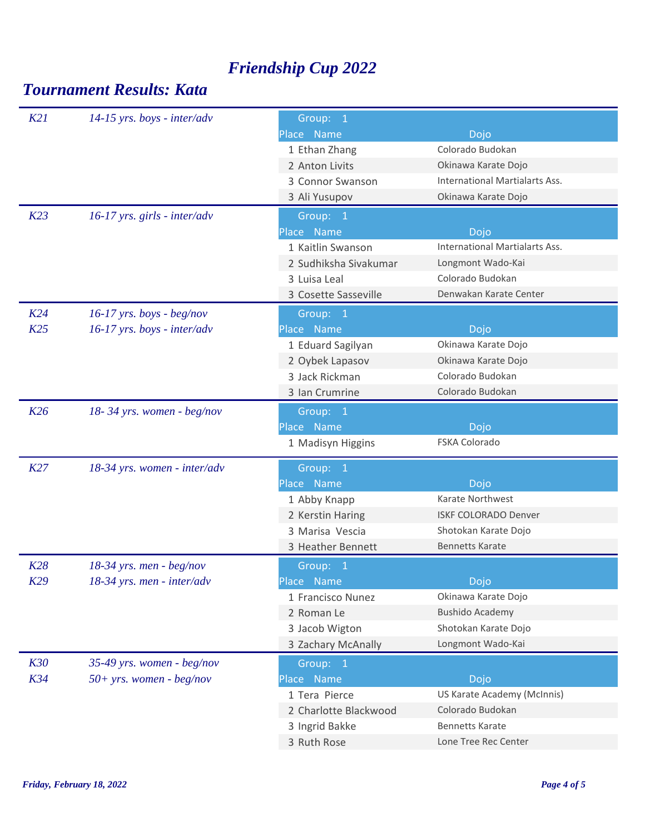| K21        | $14-15$ yrs. boys - inter/adv  | Group: 1              |                                       |
|------------|--------------------------------|-----------------------|---------------------------------------|
|            |                                | Place Name            | Dojo                                  |
|            |                                | 1 Ethan Zhang         | Colorado Budokan                      |
|            |                                | 2 Anton Livits        | Okinawa Karate Dojo                   |
|            |                                | 3 Connor Swanson      | International Martialarts Ass.        |
|            |                                | 3 Ali Yusupov         | Okinawa Karate Dojo                   |
| K23        | $16-17$ yrs. girls - inter/adv | Group: 1              |                                       |
|            |                                | Place Name            | Dojo                                  |
|            |                                | 1 Kaitlin Swanson     | <b>International Martialarts Ass.</b> |
|            |                                | 2 Sudhiksha Sivakumar | Longmont Wado-Kai                     |
|            |                                | 3 Luisa Leal          | Colorado Budokan                      |
|            |                                | 3 Cosette Sasseville  | Denwakan Karate Center                |
| K24        | $16-17$ yrs. boys - beg/nov    | Group: 1              |                                       |
| K25        | $16-17$ yrs. boys - inter/adv  | Place Name            | Dojo                                  |
|            |                                | 1 Eduard Sagilyan     | Okinawa Karate Dojo                   |
|            |                                | 2 Oybek Lapasov       | Okinawa Karate Dojo                   |
|            |                                | 3 Jack Rickman        | Colorado Budokan                      |
|            |                                | 3 Ian Crumrine        | Colorado Budokan                      |
| K26        | 18-34 yrs. women - beg/nov     | Group: 1              |                                       |
|            |                                | Place Name            | Dojo                                  |
|            |                                | 1 Madisyn Higgins     | FSKA Colorado                         |
| K27        | 18-34 yrs. women - inter/adv   | Group: 1              |                                       |
|            |                                | Place Name            | Dojo                                  |
|            |                                | 1 Abby Knapp          | Karate Northwest                      |
|            |                                | 2 Kerstin Haring      | <b>ISKF COLORADO Denver</b>           |
|            |                                | 3 Marisa Vescia       | Shotokan Karate Dojo                  |
|            |                                | 3 Heather Bennett     | <b>Bennetts Karate</b>                |
| K28        | $18-34$ yrs. men - beg/nov     | Group: 1              |                                       |
| K29        | $18-34$ yrs. men - inter/adv   | Place Name            | Dojo                                  |
|            |                                | 1 Francisco Nunez     | Okinawa Karate Dojo                   |
|            |                                | 2 Roman Le            | <b>Bushido Academy</b>                |
|            |                                | 3 Jacob Wigton        | Shotokan Karate Dojo                  |
|            |                                | 3 Zachary McAnally    | Longmont Wado-Kai                     |
| <b>K30</b> | 35-49 yrs. women - beg/nov     | Group: 1              |                                       |
| K34        | $50+$ yrs. women - beg/nov     | Place Name            | Dojo                                  |
|            |                                | 1 Tera Pierce         | US Karate Academy (McInnis)           |
|            |                                | 2 Charlotte Blackwood | Colorado Budokan                      |
|            |                                | 3 Ingrid Bakke        | <b>Bennetts Karate</b>                |
|            |                                | 3 Ruth Rose           | Lone Tree Rec Center                  |